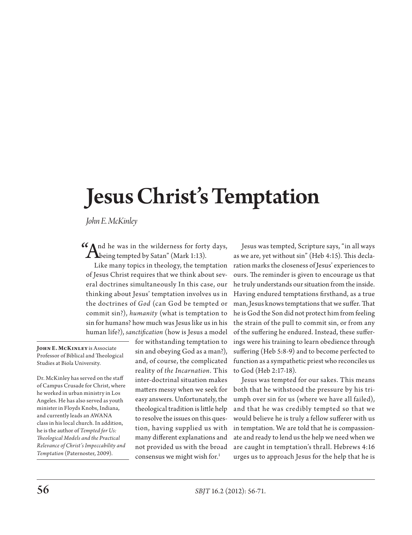# Jesus Christ's Temptation

*John E. McKinley*

 $\Lambda$ being tempted by Satan" (Mark 1:13).

Like many topics in theology, the temptation of Jesus Christ requires that we think about several doctrines simultaneously In this case, our thinking about Jesus' temptation involves us in the doctrines of *God* (can God be tempted or commit sin?), *humanity* (what is temptation to sin for humans? how much was Jesus like us in his human life?), *sanctification* (how is Jesus a model

**John E. McKinley** is Associate Professor of Biblical and Theological Studies at Biola University.

Dr. McKinley has served on the staff of Campus Crusade for Christ, where he worked in urban ministry in Los Angeles. He has also served as youth minister in Floyds Knobs, Indiana, and currently leads an AWANA class in his local church. In addition, he is the author of *Tempted for Us: Theological Models and the Practical Relevance of Christ's Impeccability and Temptation* (Paternoster, 2009).

for withstanding temptation to sin and obeying God as a man?), and, of course, the complicated reality of *the Incarnation*. This inter-doctrinal situation makes matters messy when we seek for easy answers. Unfortunately, the theological tradition is little help to resolve the issues on this question, having supplied us with many different explanations and not provided us with the broad consensus we might wish for.<sup>1</sup>

And he was in the wilderness for forty days, Jesus was tempted, Scripture says, "in all ways<br>
being tempted by Satan" (Mark 1:13).<br>
Like means termino in the class of the temptation of the decay of the decay of the sympath as we are, yet without sin" (Heb 4:15). This declaration marks the closeness of Jesus' experiences to ours. The reminder is given to encourage us that he truly understands our situation from the inside. Having endured temptations firsthand, as a true man, Jesus knows temptations that we suffer. That he is God the Son did not protect him from feeling the strain of the pull to commit sin, or from any of the suffering he endured. Instead, these sufferings were his training to learn obedience through suffering (Heb 5:8-9) and to become perfected to function as a sympathetic priest who reconciles us to God (Heb 2:17-18).

> Jesus was tempted for our sakes. This means both that he withstood the pressure by his triumph over sin for us (where we have all failed), and that he was credibly tempted so that we would believe he is truly a fellow sufferer with us in temptation. We are told that he is compassionate and ready to lend us the help we need when we are caught in temptation's thrall. Hebrews 4:16 urges us to approach Jesus for the help that he is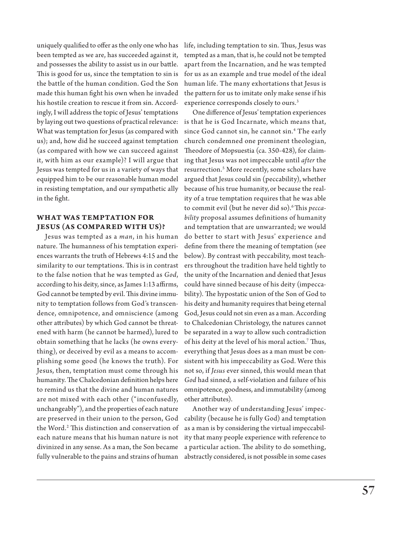uniquely qualified to offer as the only one who has been tempted as we are, has succeeded against it, and possesses the ability to assist us in our battle. This is good for us, since the temptation to sin is the battle of the human condition. God the Son made this human fight his own when he invaded his hostile creation to rescue it from sin. Accordingly, I will address the topic of Jesus' temptations by laying out two questions of practical relevance: What was temptation for Jesus (as compared with us); and, how did he succeed against temptation (as compared with how we can succeed against it, with him as our example)? I will argue that Jesus was tempted for us in a variety of ways that equipped him to be our reasonable human model in resisting temptation, and our sympathetic ally in the fight.

#### **WHAT WAS TEMPTATION FOR JESUS (AS COMPARED WITH US)?**

Jesus was tempted as a *man*, in his human nature. The humanness of his temptation experiences warrants the truth of Hebrews 4:15 and the similarity to our temptations. This is in contrast to the false notion that he was tempted as *God*, according to his deity, since, as James 1:13 affirms, God cannot be tempted by evil. This divine immunity to temptation follows from God's transcendence, omnipotence, and omniscience (among other attributes) by which God cannot be threatened with harm (he cannot be harmed), lured to obtain something that he lacks (he owns everything), or deceived by evil as a means to accomplishing some good (he knows the truth). For Jesus, then, temptation must come through his humanity. The Chalcedonian definition helps here to remind us that the divine and human natures are not mixed with each other ("inconfusedly, unchangeably"), and the properties of each nature are preserved in their union to the person, God the Word.2 This distinction and conservation of each nature means that his human nature is not divinized in any sense. As a man, the Son became fully vulnerable to the pains and strains of human

life, including temptation to sin. Thus, Jesus was tempted as a man, that is, he could not be tempted apart from the Incarnation, and he was tempted for us as an example and true model of the ideal human life. The many exhortations that Jesus is the pattern for us to imitate only make sense if his experience corresponds closely to ours.<sup>3</sup>

One difference of Jesus' temptation experiences is that he is God Incarnate, which means that, since God cannot sin, he cannot sin.4 The early church condemned one prominent theologian, Theodore of Mopsuestia (ca. 350-428), for claiming that Jesus was not impeccable until *after* the resurrection.5 More recently, some scholars have argued that Jesus could sin (peccability), whether because of his true humanity, or because the reality of a true temptation requires that he was able to commit evil (but he never did so).6 This *peccability* proposal assumes definitions of humanity and temptation that are unwarranted; we would do better to start with Jesus' experience and define from there the meaning of temptation (see below). By contrast with peccability, most teachers throughout the tradition have held tightly to the unity of the Incarnation and denied that Jesus could have sinned because of his deity (impeccability). The hypostatic union of the Son of God to his deity and humanity requires that being eternal God, Jesus could not sin even as a man. According to Chalcedonian Christology, the natures cannot be separated in a way to allow such contradiction of his deity at the level of his moral action.7 Thus, everything that Jesus does as a man must be consistent with his impeccability as God. Were this not so, if *Jesus* ever sinned, this would mean that *God* had sinned, a self-violation and failure of his omnipotence, goodness, and immutability (among other attributes).

Another way of understanding Jesus' impeccability (because he is fully God) and temptation as a man is by considering the virtual impeccability that many people experience with reference to a particular action. The ability to do something, abstractly considered, is not possible in some cases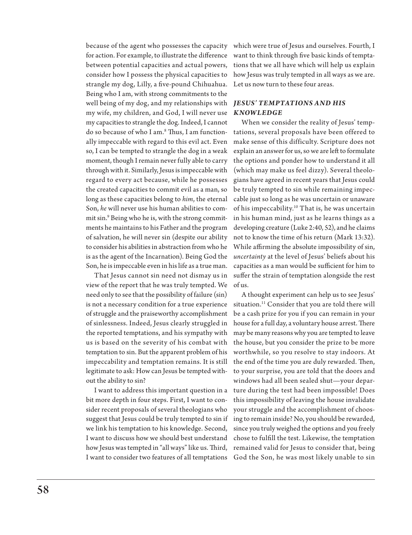because of the agent who possesses the capacity for action. For example, to illustrate the difference between potential capacities and actual powers, consider how I possess the physical capacities to strangle my dog, Lilly, a five-pound Chihuahua. Being who I am, with strong commitments to the well being of my dog, and my relationships with *JESUS' TEMPTATIONS AND HIS*  my wife, my children, and God, I will never use my capacities to strangle the dog. Indeed, I cannot do so because of who I am.8 Thus, I am functionally impeccable with regard to this evil act. Even so, I can be tempted to strangle the dog in a weak moment, though I remain never fully able to carry through with it. Similarly, Jesus is impeccable with regard to every act because, while he possesses the created capacities to commit evil as a man, so long as these capacities belong to *him*, the eternal Son, *he* will never use his human abilities to commit sin.9 Being who he is, with the strong commitments he maintains to his Father and the program of salvation, he will never sin (despite our ability to consider his abilities in abstraction from who he is as the agent of the Incarnation). Being God the Son, he is impeccable even in his life as a true man.

That Jesus cannot sin need not dismay us in view of the report that he was truly tempted. We need only to see that the possibility of failure (sin) is not a necessary condition for a true experience of struggle and the praiseworthy accomplishment of sinlessness. Indeed, Jesus clearly struggled in the reported temptations, and his sympathy with us is based on the severity of his combat with temptation to sin. But the apparent problem of his impeccability and temptation remains. It is still legitimate to ask: How can Jesus be tempted without the ability to sin?

I want to address this important question in a bit more depth in four steps. First, I want to consider recent proposals of several theologians who suggest that Jesus could be truly tempted to sin if we link his temptation to his knowledge. Second, I want to discuss how we should best understand how Jesus was tempted in "all ways" like us. Third, I want to consider two features of all temptations

which were true of Jesus and ourselves. Fourth, I want to think through five basic kinds of temptations that we all have which will help us explain how Jesus was truly tempted in all ways as we are. Let us now turn to these four areas.

## *KNOWLEDGE*

When we consider the reality of Jesus' temptations, several proposals have been offered to make sense of this difficulty. Scripture does not explain an answer for us, so we are left to formulate the options and ponder how to understand it all (which may make us feel dizzy). Several theologians have agreed in recent years that Jesus could be truly tempted to sin while remaining impeccable just so long as he was uncertain or unaware of his impeccability.<sup>10</sup> That is, he was uncertain in his human mind, just as he learns things as a developing creature (Luke 2:40, 52), and he claims not to know the time of his return (Mark 13:32). While affirming the absolute impossibility of sin, *uncertainty* at the level of Jesus' beliefs about his capacities as a man would be sufficient for him to suffer the strain of temptation alongside the rest of us.

A thought experiment can help us to see Jesus' situation.<sup>11</sup> Consider that you are told there will be a cash prize for you if you can remain in your house for a full day, a voluntary house arrest. There may be many reasons why you are tempted to leave the house, but you consider the prize to be more worthwhile, so you resolve to stay indoors. At the end of the time you are duly rewarded. Then, to your surprise, you are told that the doors and windows had all been sealed shut—your departure during the test had been impossible! Does this impossibility of leaving the house invalidate your struggle and the accomplishment of choosing to remain inside? No, you should be rewarded, since you truly weighed the options and you freely chose to fulfill the test. Likewise, the temptation remained valid for Jesus to consider that, being God the Son, he was most likely unable to sin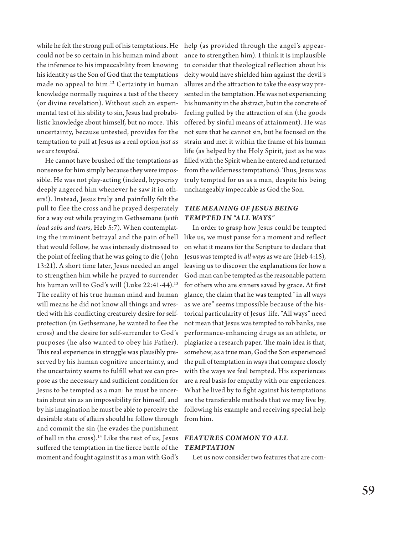while he felt the strong pull of his temptations. He could not be so certain in his human mind about the inference to his impeccability from knowing his identity as the Son of God that the temptations made no appeal to him.<sup>12</sup> Certainty in human knowledge normally requires a test of the theory (or divine revelation). Without such an experimental test of his ability to sin, Jesus had probabilistic knowledge about himself, but no more. This uncertainty, because untested, provides for the temptation to pull at Jesus as a real option *just as we are tempted*.

He cannot have brushed off the temptations as nonsense for him simply because they were impossible. He was not play-acting (indeed, hypocrisy deeply angered him whenever he saw it in others!). Instead, Jesus truly and painfully felt the pull to flee the cross and he prayed desperately for a way out while praying in Gethsemane (*with loud sobs and tears*, Heb 5:7). When contemplating the imminent betrayal and the pain of hell that would follow, he was intensely distressed to the point of feeling that he was going to die (John 13:21). A short time later, Jesus needed an angel to strengthen him while he prayed to surrender his human will to God's will (Luke  $22:41-44$ ).<sup>13</sup> The reality of his true human mind and human will means he did not know all things and wrestled with his conflicting creaturely desire for selfprotection (in Gethsemane, he wanted to flee the cross) and the desire for self-surrender to God's purposes (he also wanted to obey his Father). This real experience in struggle was plausibly preserved by his human cognitive uncertainty, and the uncertainty seems to fulfill what we can propose as the necessary and sufficient condition for Jesus to be tempted as a man: he must be uncertain about sin as an impossibility for himself, and by his imagination he must be able to perceive the desirable state of affairs should he follow through and commit the sin (he evades the punishment of hell in the cross).<sup>14</sup> Like the rest of us, Jesus suffered the temptation in the fierce battle of the moment and fought against it as a man with God's

help (as provided through the angel's appearance to strengthen him). I think it is implausible to consider that theological reflection about his deity would have shielded him against the devil's allures and the attraction to take the easy way presented in the temptation. He was not experiencing his humanity in the abstract, but in the concrete of feeling pulled by the attraction of sin (the goods offered by sinful means of attainment). He was not sure that he cannot sin, but he focused on the strain and met it within the frame of his human life (as helped by the Holy Spirit, just as he was filled with the Spirit when he entered and returned from the wilderness temptations). Thus, Jesus was truly tempted for us as a man, despite his being unchangeably impeccable as God the Son.

#### *THE MEANING OF JESUS BEING TEMPTED IN "ALL WAYS"*

In order to grasp how Jesus could be tempted like us, we must pause for a moment and reflect on what it means for the Scripture to declare that Jesus was tempted *in all ways* as we are (Heb 4:15), leaving us to discover the explanations for how a God-man can be tempted as the reasonable pattern for others who are sinners saved by grace. At first glance, the claim that he was tempted "in all ways as we are" seems impossible because of the historical particularity of Jesus' life. "All ways" need not mean that Jesus was tempted to rob banks, use performance-enhancing drugs as an athlete, or plagiarize a research paper. The main idea is that, somehow, as a true man, God the Son experienced the pull of temptation in ways that compare closely with the ways we feel tempted. His experiences are a real basis for empathy with our experiences. What he lived by to fight against his temptations are the transferable methods that we may live by, following his example and receiving special help from him.

## *FEATUR ES COMMON TO ALL TEMPTATION*

Let us now consider two features that are com-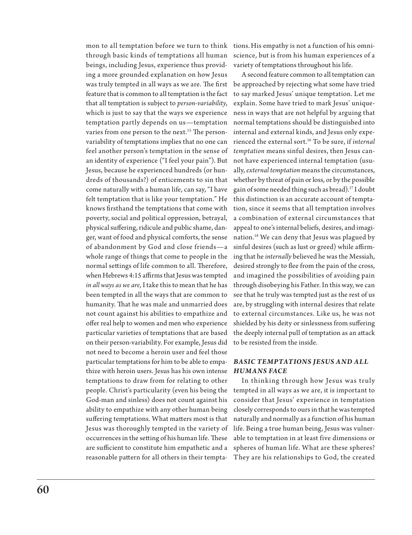through basic kinds of temptations all human beings, including Jesus, experience thus providing a more grounded explanation on how Jesus was truly tempted in all ways as we are. The first feature that is common to all temptation is the fact that all temptation is subject to *person-variability*, which is just to say that the ways we experience temptation partly depends on us—temptation varies from one person to the next.<sup>15</sup> The personvariability of temptations implies that no one can feel another person's temptation in the sense of an identity of experience ("I feel your pain"). But Jesus, because he experienced hundreds (or hundreds of thousands?) of enticements to sin that come naturally with a human life, can say, "I have felt temptation that is like your temptation." He knows firsthand the temptations that come with poverty, social and political oppression, betrayal, physical suffering, ridicule and public shame, danger, want of food and physical comforts, the sense of abandonment by God and close friends—a whole range of things that come to people in the normal settings of life common to all. Therefore, when Hebrews 4:15 affirms that Jesus was tempted *in all ways as we are*, I take this to mean that he has been tempted in all the ways that are common to humanity. That he was male and unmarried does not count against his abilities to empathize and offer real help to women and men who experience particular varieties of temptations that are based on their person-variability. For example, Jesus did not need to become a heroin user and feel those particular temptations for him to be able to empa-*BASIC TEMPTATIONS JESUS AND ALL*  thize with heroin users. Jesus has his own intense *HUMANS FACE* temptations to draw from for relating to other people. Christ's particularity (even his being the God-man and sinless) does not count against his ability to empathize with any other human being suffering temptations. What matters most is that Jesus was thoroughly tempted in the variety of occurrences in the setting of his human life. These are sufficient to constitute him empathetic and a reasonable pattern for all others in their tempta-

mon to all temptation before we turn to think tions.His empathy is not a function of his omniscience, but is from his human experiences of a variety of temptations throughout his life.

> A second feature common to all temptation can be approached by rejecting what some have tried to say marked Jesus' unique temptation. Let me explain. Some have tried to mark Jesus' uniqueness in ways that are not helpful by arguing that normal temptations should be distinguished into internal and external kinds, and Jesus only experienced the external sort.16 To be sure, if *internal temptation* means sinful desires, then Jesus cannot have experienced internal temptation (usually, *external temptation* means the circumstances, whether by threat of pain or loss, or by the possible gain of some needed thing such as bread).17 I doubt this distinction is an accurate account of temptation, since it seems that all temptation involves a combination of external circumstances that appeal to one's internal beliefs, desires, and imagination.18 We can deny that Jesus was plagued by sinful desires (such as lust or greed) while affirming that he *internally* believed he was the Messiah, desired strongly to flee from the pain of the cross, and imagined the possibilities of avoiding pain through disobeying his Father. In this way, we can see that he truly was tempted just as the rest of us are, by struggling with internal desires that relate to external circumstances. Like us, he was not shielded by his deity or sinlessness from suffering the deeply internal pull of temptation as an attack to be resisted from the inside.

In thinking through how Jesus was truly tempted in all ways as we are, it is important to consider that Jesus' experience in temptation closely corresponds to ours in that he was tempted naturally and normally as a function of his human life. Being a true human being, Jesus was vulnerable to temptation in at least five dimensions or spheres of human life. What are these spheres? They are his relationships to God, the created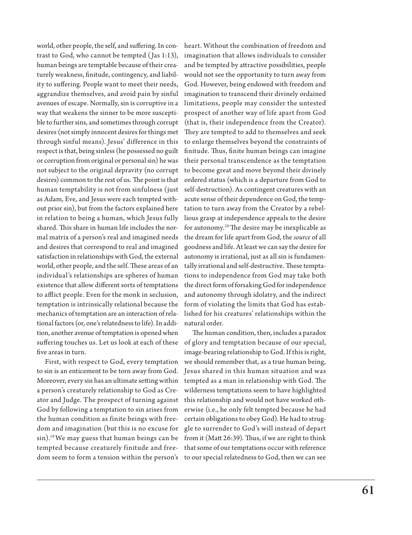world, other people, the self, and suffering. In contrast to God, who cannot be tempted (Jas 1:13), human beings are temptable because of their creaturely weakness, finitude, contingency, and liability to suffering. People want to meet their needs, aggrandize themselves, and avoid pain by sinful avenues of escape. Normally, sin is corruptive in a way that weakens the sinner to be more susceptible to further sins, and sometimes through corrupt desires (not simply innocent desires for things met through sinful means). Jesus' difference in this respect is that, being sinless (he possessed no guilt or corruption from original or personal sin) he was not subject to the original depravity (no corrupt desires) common to the rest of us. The point is that human temptability is not from sinfulness (just as Adam, Eve, and Jesus were each tempted without prior sin), but from the factors explained here in relation to being a human, which Jesus fully shared. This share in human life includes the normal matrix of a person's real and imagined needs and desires that correspond to real and imagined satisfaction in relationships with God, the external world, other people, and the self. These areas of an individual's relationships are spheres of human existence that allow different sorts of temptations to afflict people. Even for the monk in seclusion, temptation is intrinsically relational because the mechanics of temptation are an interaction of relational factors (or, one's relatedness to life). In addition, another avenue of temptation is opened when suffering touches us. Let us look at each of these five areas in turn.

First, with respect to God, every temptation to sin is an enticement to be torn away from God. Moreover, every sin has an ultimate setting within a person's creaturely relationship to God as Creator and Judge. The prospect of turning against God by following a temptation to sin arises from the human condition as finite beings with freedom and imagination (but this is no excuse for sin).19 We may guess that human beings can be tempted because creaturely finitude and freedom seem to form a tension within the person's heart. Without the combination of freedom and imagination that allows individuals to consider and be tempted by attractive possibilities, people would not see the opportunity to turn away from God. However, being endowed with freedom and imagination to transcend their divinely ordained limitations, people may consider the untested prospect of another way of life apart from God (that is, their independence from the Creator). They are tempted to add to themselves and seek to enlarge themselves beyond the constraints of finitude. Thus, finite human beings can imagine their personal transcendence as the temptation to become great and move beyond their divinely ordered status (which is a departure from God to self-destruction). As contingent creatures with an acute sense of their dependence on God, the temptation to turn away from the Creator by a rebellious grasp at independence appeals to the desire for autonomy.20 The desire may be inexplicable as the dream for life apart from God, the *source* of all goodness and life. At least we can say the desire for autonomy is irrational, just as all sin is fundamentally irrational and self-destructive. These temptations to independence from God may take both the direct form of forsaking God for independence and autonomy through idolatry, and the indirect form of violating the limits that God has established for his creatures' relationships within the natural order.

The human condition, then, includes a paradox of glory and temptation because of our special, image-bearing relationship to God. If this is right, we should remember that, as a true human being, Jesus shared in this human situation and was tempted as a man in relationship with God. The wilderness temptations seem to have highlighted this relationship and would not have worked otherwise (i.e., he only felt tempted because he had certain obligations to obey God). He had to struggle to surrender to God's will instead of depart from it (Matt 26:39). Thus, if we are right to think that some of our temptations occur with reference to our special relatedness to God, then we can see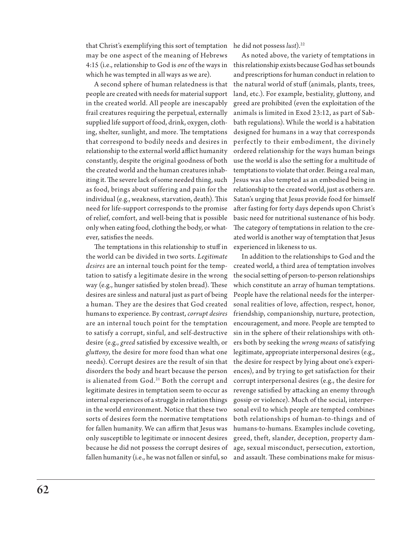that Christ's exemplifying this sort of temptation he did not possess *lust*).22 may be one aspect of the meaning of Hebrews which he was tempted in all ways as we are).

A second sphere of human relatedness is that people are created with needs for material support in the created world. All people are inescapably frail creatures requiring the perpetual, externally supplied life support of food, drink, oxygen, clothing, shelter, sunlight, and more. The temptations that correspond to bodily needs and desires in relationship to the external world afflict humanity constantly, despite the original goodness of both the created world and the human creatures inhabiting it. The severe lack of some needed thing, such as food, brings about suffering and pain for the individual (e.g., weakness, starvation, death). This need for life-support corresponds to the promise of relief, comfort, and well-being that is possible only when eating food, clothing the body, or whatever, satisfies the needs.

The temptations in this relationship to stuff in experienced in likeness to us. the world can be divided in two sorts. *Legitimate desires* are an internal touch point for the temptation to satisfy a legitimate desire in the wrong way (e.g., hunger satisfied by stolen bread). These desires are sinless and natural just as part of being a human. They are the desires that God created humans to experience. By contrast, *corrupt desires*  are an internal touch point for the temptation to satisfy a corrupt, sinful, and self-destructive desire (e.g., *greed* satisfied by excessive wealth, or *gluttony*, the desire for more food than what one needs). Corrupt desires are the result of sin that disorders the body and heart because the person is alienated from God.<sup>21</sup> Both the corrupt and legitimate desires in temptation seem to occur as internal experiences of a struggle in relation things in the world environment. Notice that these two sorts of desires form the normative temptations for fallen humanity. We can affirm that Jesus was only susceptible to legitimate or innocent desires because he did not possess the corrupt desires of fallen humanity (i.e., he was not fallen or sinful, so

4:15 (i.e., relationship to God is *one* of the ways in this relationship exists because God has set bounds As noted above, the variety of temptations in and prescriptions for human conduct in relation to the natural world of stuff (animals, plants, trees, land, etc.). For example, bestiality, gluttony, and greed are prohibited (even the exploitation of the animals is limited in Exod 23:12, as part of Sabbath regulations). While the world is a habitation designed for humans in a way that corresponds perfectly to their embodiment, the divinely ordered relationship for the ways human beings use the world is also the setting for a multitude of temptations to violate that order. Being a real man, Jesus was also tempted as an embodied being in relationship to the created world, just as others are. Satan's urging that Jesus provide food for himself after fasting for forty days depends upon Christ's basic need for nutritional sustenance of his body. The category of temptations in relation to the created world is another way of temptation that Jesus

> In addition to the relationships to God and the created world, a third area of temptation involves the social setting of person-to-person relationships which constitute an array of human temptations. People have the relational needs for the interpersonal realities of love, affection, respect, honor, friendship, companionship, nurture, protection, encouragement, and more. People are tempted to sin in the sphere of their relationships with others both by seeking the *wrong means* of satisfying legitimate, appropriate interpersonal desires (e.g., the desire for respect by lying about one's experiences), and by trying to get satisfaction for their corrupt interpersonal desires (e.g., the desire for revenge satisfied by attacking an enemy through gossip or violence). Much of the social, interpersonal evil to which people are tempted combines both relationships of human-to-things and of humans-to-humans. Examples include coveting, greed, theft, slander, deception, property damage, sexual misconduct, persecution, extortion, and assault. These combinations make for misus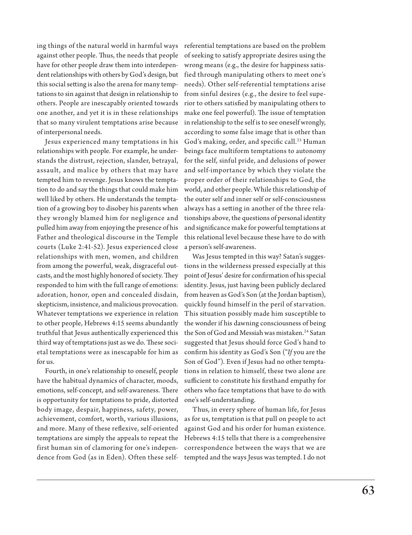ing things of the natural world in harmful ways against other people. Thus, the needs that people have for other people draw them into interdependent relationships with others by God's design, but this social setting is also the arena for many temptations to sin against that design in relationship to others. People are inescapably oriented towards one another, and yet it is in these relationships that so many virulent temptations arise because of interpersonal needs.

Jesus experienced many temptations in his relationships with people. For example, he understands the distrust, rejection, slander, betrayal, assault, and malice by others that may have tempted him to revenge. Jesus knows the temptation to do and say the things that could make him well liked by others. He understands the temptation of a growing boy to disobey his parents when they wrongly blamed him for negligence and pulled him away from enjoying the presence of his Father and theological discourse in the Temple courts (Luke 2:41-52). Jesus experienced close relationships with men, women, and children from among the powerful, weak, disgraceful outcasts, and the most highly honored of society. They responded to him with the full range of emotions: adoration, honor, open and concealed disdain, skepticism, insistence, and malicious provocation. Whatever temptations we experience in relation to other people, Hebrews 4:15 seems abundantly truthful that Jesus authentically experienced this third way of temptations just as we do. These societal temptations were as inescapable for him as for us.

Fourth, in one's relationship to oneself, people have the habitual dynamics of character, moods, emotions, self-concept, and self-awareness. There is opportunity for temptations to pride, distorted body image, despair, happiness, safety, power, achievement, comfort, worth, various illusions, and more. Many of these reflexive, self-oriented temptations are simply the appeals to repeat the first human sin of clamoring for one's independence from God (as in Eden). Often these selfreferential temptations are based on the problem of seeking to satisfy appropriate desires using the wrong means (e.g., the desire for happiness satisfied through manipulating others to meet one's needs). Other self-referential temptations arise from sinful desires (e.g., the desire to feel superior to others satisfied by manipulating others to make one feel powerful). The issue of temptation in relationship to the self is to see oneself wrongly, according to some false image that is other than God's making, order, and specific call.<sup>23</sup> Human beings face multiform temptations to autonomy for the self, sinful pride, and delusions of power and self-importance by which they violate the proper order of their relationships to God, the world, and other people. While this relationship of the outer self and inner self or self-consciousness always has a setting in another of the three relationships above, the questions of personal identity and significance make for powerful temptations at this relational level because these have to do with a person's self-awareness.

Was Jesus tempted in this way? Satan's suggestions in the wilderness pressed especially at this point of Jesus' desire for confirmation of his special identity. Jesus, just having been publicly declared from heaven as God's Son (at the Jordan baptism), quickly found himself in the peril of starvation. This situation possibly made him susceptible to the wonder if his dawning consciousness of being the Son of God and Messiah was mistaken.<sup>24</sup> Satan suggested that Jesus should force God's hand to confirm his identity as God's Son ("*If* you are the Son of God"). Even if Jesus had no other temptations in relation to himself, these two alone are sufficient to constitute his firsthand empathy for others who face temptations that have to do with one's self-understanding.

Thus, in every sphere of human life, for Jesus as for us, temptation is that pull on people to act against God and his order for human existence. Hebrews 4:15 tells that there is a comprehensive correspondence between the ways that we are tempted and the ways Jesus was tempted. I do not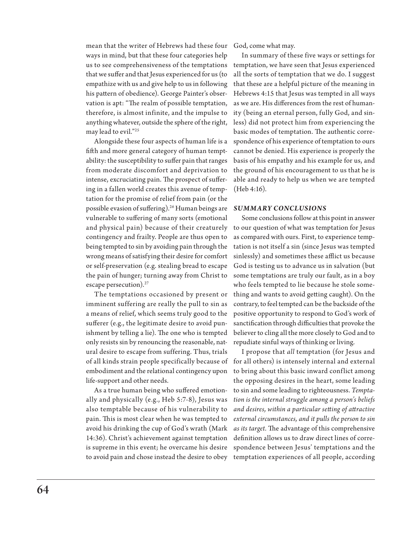mean that the writer of Hebrews had these four God, come what may. ways in mind, but that these four categories help us to see comprehensiveness of the temptations that we suffer and that Jesus experienced for us (to empathize with us and give help to us in following his pattern of obedience). George Painter's observation is apt: "The realm of possible temptation, therefore, is almost infinite, and the impulse to anything whatever, outside the sphere of the right, may lead to evil."25

Alongside these four aspects of human life is a fifth and more general category of human temptability: the susceptibility to suffer pain that ranges from moderate discomfort and deprivation to intense, excruciating pain. The prospect of suffering in a fallen world creates this avenue of temptation for the promise of relief from pain (or the possible evasion of suffering).26 Human beings are *SUMMARY CONCLUSIONS* vulnerable to suffering of many sorts (emotional and physical pain) because of their creaturely contingency and frailty. People are thus open to being tempted to sin by avoiding pain through the wrong means of satisfying their desire for comfort or self-preservation (e.g. stealing bread to escape the pain of hunger; turning away from Christ to escape persecution).<sup>27</sup>

The temptations occasioned by present or imminent suffering are really the pull to sin as a means of relief, which seems truly good to the sufferer (e.g., the legitimate desire to avoid punishment by telling a lie). The one who is tempted only resists sin by renouncing the reasonable, natural desire to escape from suffering. Thus, trials embodiment and the relational contingency upon life-support and other needs.

As a true human being who suffered emotionally and physically (e.g., Heb 5:7-8), Jesus was also temptable because of his vulnerability to pain. This is most clear when he was tempted to avoid his drinking the cup of God's wrath (Mark 14:36). Christ's achievement against temptation is supreme in this event; he overcame his desire to avoid pain and chose instead the desire to obey

In summary of these five ways or settings for temptation, we have seen that Jesus experienced all the sorts of temptation that we do. I suggest that these are a helpful picture of the meaning in Hebrews 4:15 that Jesus was tempted in all ways as we are. His differences from the rest of humanity (being an eternal person, fully God, and sinless) did not protect him from experiencing the basic modes of temptation. The authentic correspondence of his experience of temptation to ours cannot be denied. His experience is properly the basis of his empathy and his example for us, and the ground of his encouragement to us that he is able and ready to help us when we are tempted (Heb 4:16).

Some conclusions follow at this point in answer to our question of what was temptation for Jesus as compared with ours. First, to experience temptation is not itself a sin (since Jesus was tempted sinlessly) and sometimes these afflict us because God is testing us to advance us in salvation (but some temptations are truly our fault, as in a boy who feels tempted to lie because he stole something and wants to avoid getting caught). On the contrary, to feel tempted can be the backside of the positive opportunity to respond to God's work of sanctification through difficulties that provoke the believer to cling all the more closely to God and to repudiate sinful ways of thinking or living.

of all kinds strain people specifically because of for all others) is intensely internal and external I propose that *all* temptation (for Jesus and to bring about this basic inward conflict among the opposing desires in the heart, some leading to sin and some leading to righteousness. *Temptation is the internal struggle among a person's beliefs and desires, within a particular setting of attractive external circumstances, and it pulls the person to sin as its target.* The advantage of this comprehensive definition allows us to draw direct lines of correspondence between Jesus' temptations and the temptation experiences of all people, according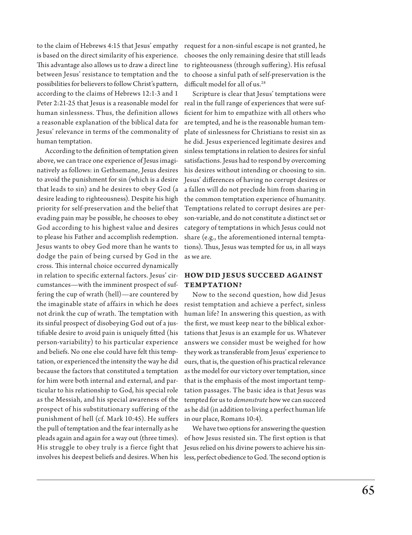to the claim of Hebrews 4:15 that Jesus' empathy is based on the direct similarity of his experience. This advantage also allows us to draw a direct line between Jesus' resistance to temptation and the possibilities for believers to follow Christ's pattern, according to the claims of Hebrews 12:1-3 and 1 Peter 2:21-25 that Jesus is a reasonable model for human sinlessness. Thus, the definition allows a reasonable explanation of the biblical data for Jesus' relevance in terms of the commonality of human temptation.

According to the definition of temptation given above, we can trace one experience of Jesus imaginatively as follows: in Gethsemane, Jesus desires to avoid the punishment for sin (which is a desire that leads to sin) and he desires to obey God (a desire leading to righteousness). Despite his high priority for self-preservation and the belief that evading pain may be possible, he chooses to obey God according to his highest value and desires to please his Father and accomplish redemption. Jesus wants to obey God more than he wants to dodge the pain of being cursed by God in the cross. This internal choice occurred dynamically in relation to specific external factors. Jesus' circumstances—with the imminent prospect of suffering the cup of wrath (hell)—are countered by the imaginable state of affairs in which he does not drink the cup of wrath. The temptation with its sinful prospect of disobeying God out of a justifiable desire to avoid pain is uniquely fitted (his person-variability) to his particular experience and beliefs. No one else could have felt this temptation, or experienced the intensity the way he did because the factors that constituted a temptation for him were both internal and external, and particular to his relationship to God, his special role as the Messiah, and his special awareness of the prospect of his substitutionary suffering of the punishment of hell (cf. Mark 10:45). He suffers the pull of temptation and the fear internally as he pleads again and again for a way out (three times). His struggle to obey truly is a fierce fight that involves his deepest beliefs and desires. When his

request for a non-sinful escape is not granted, he chooses the only remaining desire that still leads to righteousness (through suffering). His refusal to choose a sinful path of self-preservation is the difficult model for all of us.<sup>28</sup>

Scripture is clear that Jesus' temptations were real in the full range of experiences that were sufficient for him to empathize with all others who are tempted, and he is the reasonable human template of sinlessness for Christians to resist sin as he did. Jesus experienced legitimate desires and sinless temptations in relation to desires for sinful satisfactions. Jesus had to respond by overcoming his desires without intending or choosing to sin. Jesus' differences of having no corrupt desires or a fallen will do not preclude him from sharing in the common temptation experience of humanity. Temptations related to corrupt desires are person-variable, and do not constitute a distinct set or category of temptations in which Jesus could not share (e.g., the aforementioned internal temptations). Thus, Jesus was tempted for us, in all ways as we are.

## **HOW DID JESUS SUCCEED AGAINST TEMPTATION?**

Now to the second question, how did Jesus resist temptation and achieve a perfect, sinless human life? In answering this question, as with the first, we must keep near to the biblical exhortations that Jesus is an example for us. Whatever answers we consider must be weighed for how they work as transferable from Jesus' experience to ours, that is, the question of his practical relevance as the model for our victory over temptation, since that is the emphasis of the most important temptation passages. The basic idea is that Jesus was tempted for us to *demonstrate* how we can succeed as he did (in addition to living a perfect human life in our place, Romans 10:4).

We have two options for answering the question of how Jesus resisted sin. The first option is that Jesus relied on his divine powers to achieve his sinless, perfect obedience to God. The second option is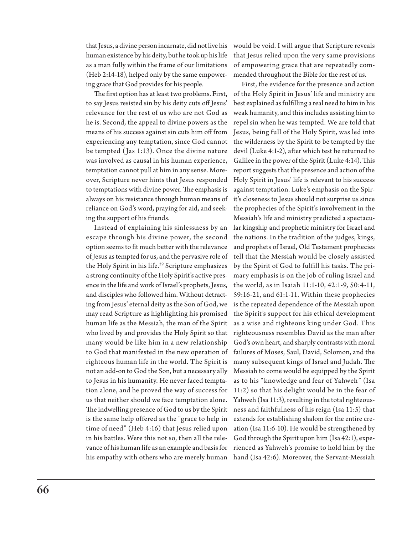that Jesus, a divine person incarnate, did not live his human existence by his deity, but he took up his life as a man fully within the frame of our limitations (Heb 2:14-18), helped only by the same empowering grace that God provides for his people.

The first option has at least two problems. First, to say Jesus resisted sin by his deity cuts off Jesus' relevance for the rest of us who are not God as he is. Second, the appeal to divine powers as the means of his success against sin cuts him off from experiencing any temptation, since God cannot be tempted ( Jas 1:13). Once the divine nature was involved as causal in his human experience, temptation cannot pull at him in any sense. Moreover, Scripture never hints that Jesus responded to temptations with divine power. The emphasis is always on his resistance through human means of reliance on God's word, praying for aid, and seeking the support of his friends.

Instead of explaining his sinlessness by an escape through his divine power, the second option seems to fit much better with the relevance of Jesus as tempted for us, and the pervasive role of the Holy Spirit in his life.<sup>29</sup> Scripture emphasizes a strong continuity of the Holy Spirit's active presence in the life and work of Israel's prophets, Jesus, and disciples who followed him. Without detracting from Jesus' eternal deity as the Son of God, we may read Scripture as highlighting his promised human life as the Messiah, the man of the Spirit who lived by and provides the Holy Spirit so that many would be like him in a new relationship to God that manifested in the new operation of righteous human life in the world. The Spirit is not an add-on to God the Son, but a necessary ally to Jesus in his humanity. He never faced temptation alone, and he proved the way of success for us that neither should we face temptation alone. The indwelling presence of God to us by the Spirit is the same help offered as the "grace to help in time of need" (Heb 4:16) that Jesus relied upon in his battles. Were this not so, then all the relevance of his human life as an example and basis for his empathy with others who are merely human

would be void. I will argue that Scripture reveals that Jesus relied upon the very same provisions of empowering grace that are repeatedly commended throughout the Bible for the rest of us.

First, the evidence for the presence and action of the Holy Spirit in Jesus' life and ministry are best explained as fulfilling a real need to him in his weak humanity, and this includes assisting him to repel sin when he was tempted. We are told that Jesus, being full of the Holy Spirit, was led into the wilderness by the Spirit to be tempted by the devil (Luke 4:1-2), after which test he returned to Galilee in the power of the Spirit (Luke 4:14). This report suggests that the presence and action of the Holy Spirit in Jesus' life is relevant to his success against temptation. Luke's emphasis on the Spirit's closeness to Jesus should not surprise us since the prophecies of the Spirit's involvement in the Messiah's life and ministry predicted a spectacular kingship and prophetic ministry for Israel and the nations. In the tradition of the judges, kings, and prophets of Israel, Old Testament prophecies tell that the Messiah would be closely assisted by the Spirit of God to fulfill his tasks. The primary emphasis is on the job of ruling Israel and the world, as in Isaiah 11:1-10, 42:1-9, 50:4-11, 59:16-21, and 61:1-11. Within these prophecies is the repeated dependence of the Messiah upon the Spirit's support for his ethical development as a wise and righteous king under God. This righteousness resembles David as the man after God's own heart, and sharply contrasts with moral failures of Moses, Saul, David, Solomon, and the many subsequent kings of Israel and Judah. The Messiah to come would be equipped by the Spirit as to his "knowledge and fear of Yahweh" (Isa 11:2) so that his delight would be in the fear of Yahweh (Isa 11:3), resulting in the total righteousness and faithfulness of his reign (Isa 11:5) that extends for establishing shalom for the entire creation (Isa 11:6-10). He would be strengthened by God through the Spirit upon him (Isa 42:1), experienced as Yahweh's promise to hold him by the hand (Isa 42:6). Moreover, the Servant-Messiah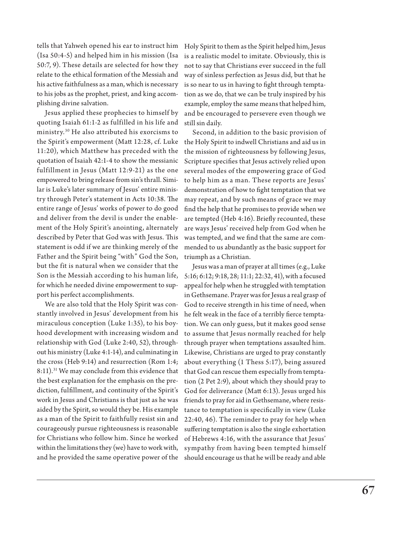tells that Yahweh opened his ear to instruct him (Isa 50:4-5) and helped him in his mission (Isa 50:7, 9). These details are selected for how they relate to the ethical formation of the Messiah and his active faithfulness as a man, which is necessary to his jobs as the prophet, priest, and king accomplishing divine salvation.

Jesus applied these prophecies to himself by quoting Isaiah 61:1-2 as fulfilled in his life and ministry.30 He also attributed his exorcisms to the Spirit's empowerment (Matt 12:28, cf. Luke 11:20), which Matthew has preceded with the quotation of Isaiah 42:1-4 to show the messianic fulfillment in Jesus (Matt 12:9-21) as the one empowered to bring release from sin's thrall. Similar is Luke's later summary of Jesus' entire ministry through Peter's statement in Acts 10:38. The entire range of Jesus' works of power to do good and deliver from the devil is under the enablement of the Holy Spirit's anointing, alternately described by Peter that God was with Jesus. This statement is odd if we are thinking merely of the Father and the Spirit being "with" God the Son, but the fit is natural when we consider that the Son is the Messiah according to his human life, for which he needed divine empowerment to support his perfect accomplishments.

We are also told that the Holy Spirit was constantly involved in Jesus' development from his miraculous conception (Luke 1:35), to his boyhood development with increasing wisdom and relationship with God (Luke 2:40, 52), throughout his ministry (Luke 4:1-14), and culminating in the cross (Heb 9:14) and resurrection (Rom 1:4; 8:11).<sup>31</sup> We may conclude from this evidence that the best explanation for the emphasis on the prediction, fulfillment, and continuity of the Spirit's work in Jesus and Christians is that just as he was aided by the Spirit, so would they be. His example as a man of the Spirit to faithfully resist sin and courageously pursue righteousness is reasonable for Christians who follow him. Since he worked within the limitations they (we) have to work with, and he provided the same operative power of the Holy Spirit to them as the Spirit helped him, Jesus is a realistic model to imitate. Obviously, this is not to say that Christians ever succeed in the full way of sinless perfection as Jesus did, but that he is so near to us in having to fight through temptation as we do, that we can be truly inspired by his example, employ the same means that helped him, and be encouraged to persevere even though we still sin daily.

Second, in addition to the basic provision of the Holy Spirit to indwell Christians and aid us in the mission of righteousness by following Jesus, Scripture specifies that Jesus actively relied upon several modes of the empowering grace of God to help him as a man. These reports are Jesus' demonstration of how to fight temptation that we may repeat, and by such means of grace we may find the help that he promises to provide when we are tempted (Heb 4:16). Briefly recounted, these are ways Jesus' received help from God when he was tempted, and we find that the same are commended to us abundantly as the basic support for triumph as a Christian.

Jesus was a man of prayer at all times (e.g., Luke 5:16; 6:12; 9:18, 28; 11:1; 22:32, 41), with a focused appeal for help when he struggled with temptation in Gethsemane. Prayer was for Jesus a real grasp of God to receive strength in his time of need, when he felt weak in the face of a terribly fierce temptation. We can only guess, but it makes good sense to assume that Jesus normally reached for help through prayer when temptations assaulted him. Likewise, Christians are urged to pray constantly about everything (1 Thess 5:17), being assured that God can rescue them especially from temptation (2 Pet 2:9), about which they should pray to God for deliverance (Matt 6:13). Jesus urged his friends to pray for aid in Gethsemane, where resistance to temptation is specifically in view (Luke 22:40, 46). The reminder to pray for help when suffering temptation is also the single exhortation of Hebrews 4:16, with the assurance that Jesus' sympathy from having been tempted himself should encourage us that he will be ready and able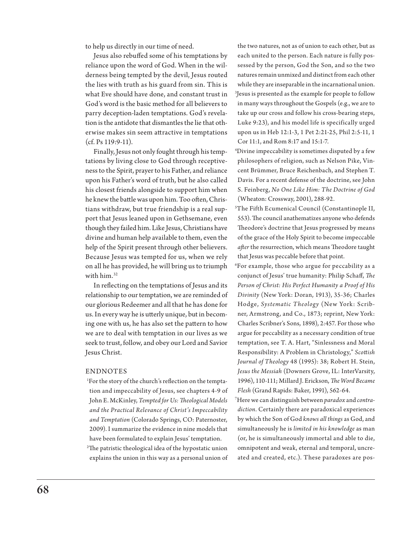to help us directly in our time of need.

Jesus also rebuffed some of his temptations by reliance upon the word of God. When in the wilderness being tempted by the devil, Jesus routed the lies with truth as his guard from sin. This is what Eve should have done, and constant trust in God's word is the basic method for all believers to parry deception-laden temptations. God's revelation is the antidote that dismantles the lie that otherwise makes sin seem attractive in temptations (cf. Ps 119:9-11).

Finally, Jesus not only fought through his temptations by living close to God through receptiveness to the Spirit, prayer to his Father, and reliance upon his Father's word of truth, but he also called his closest friends alongside to support him when he knew the battle was upon him. Too often, Christians withdraw, but true friendship is a real support that Jesus leaned upon in Gethsemane, even though they failed him. Like Jesus, Christians have divine and human help available to them, even the help of the Spirit present through other believers. Because Jesus was tempted for us, when we rely on all he has provided, he will bring us to triumph with him.32

In reflecting on the temptations of Jesus and its relationship to our temptation, we are reminded of our glorious Redeemer and all that he has done for us. In every way he is utterly unique, but in becoming one with us, he has also set the pattern to how we are to deal with temptation in our lives as we seek to trust, follow, and obey our Lord and Savior Jesus Christ.

#### ENDNOTES

1 For the story of the church's reflection on the temptation and impeccability of Jesus, see chapters 4-9 of John E. McKinley, *Tempted for Us: Theological Models and the Practical Relevance of Christ's Impeccability and Temptation* (Colorado Springs, CO: Paternoster, 2009). I summarize the evidence in nine models that have been formulated to explain Jesus' temptation.

2 The patristic theological idea of the hypostatic union explains the union in this way as a personal union of

the two natures, not as of union to each other, but as each united to the person. Each nature is fully possessed by the person, God the Son, and so the two natures remain unmixed and distinct from each other while they are inseparable in the incarnational union. 3 Jesus is presented as the example for people to follow in many ways throughout the Gospels (e.g., we are to take up our cross and follow his cross-bearing steps, Luke 9:23), and his model life is specifically urged upon us in Heb 12:1-3, 1 Pet 2:21-25, Phil 2:5-11, 1 Cor 11:1, and Rom 8:17 and 15:1-7.

4 Divine impeccability is sometimes disputed by a few philosophers of religion, such as Nelson Pike, Vincent Brümmer, Bruce Reichenbach, and Stephen T. Davis. For a recent defense of the doctrine, see John S. Feinberg, *No One Like Him: The Doctrine of God* (Wheaton: Crossway, 2001), 288-92.

5 The Fifth Ecumenical Council (Constantinople II, 553). The council anathematizes anyone who defends Theodore's doctrine that Jesus progressed by means of the grace of the Holy Spirit to become impeccable *after* the resurrection, which means Theodore taught that Jesus was peccable before that point.

6 For example, those who argue for peccability as a conjunct of Jesus' true humanity: Philip Schaff, *The Person of Christ: His Perfect Humanity a Proof of His Divinity* (New York: Doran, 1913), 35-36; Charles Hodge, *Systematic Theology* (New York: Scribner, Armstrong, and Co., 1873; reprint, New York: Charles Scribner's Sons, 1898), 2:457. For those who argue for peccability as a necessary condition of true temptation, see T. A. Hart, "Sinlessness and Moral Responsibility: A Problem in Christology," *Scottish Journal of Theology* 48 (1995): 38; Robert H. Stein, *Jesus the Messiah* (Downers Grove, IL: InterVarsity, 1996), 110-111; Millard J. Erickson, *The Word Became Flesh* (Grand Rapids: Baker, 1991), 562-64.

7 Here we can distinguish between *paradox* and *contradiction*. Certainly there are paradoxical experiences by which the Son of God *knows all things* as God, and simultaneously he is *limited in his knowledge* as man (or, he is simultaneously immortal and able to die, omnipotent and weak, eternal and temporal, uncreated and created, etc.). These paradoxes are pos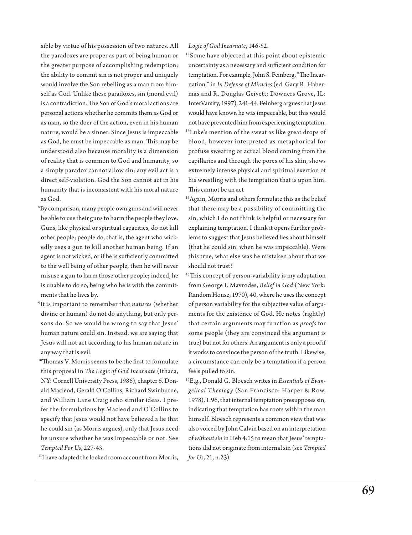sible by virtue of his possession of two natures. All the paradoxes are proper as part of being human or the greater purpose of accomplishing redemption; the ability to commit sin is not proper and uniquely would involve the Son rebelling as a man from himself as God. Unlike these paradoxes, sin (moral evil) is a contradiction. The Son of God's moral actions are personal actions whether he commits them as God or as man, so the doer of the action, even in his human nature, would be a sinner. Since Jesus is impeccable as God, he must be impeccable as man. This may be understood also because morality is a dimension of reality that is common to God and humanity, so a simply paradox cannot allow sin; any evil act is a direct self-violation. God the Son cannot act in his humanity that is inconsistent with his moral nature as God.

- 8 By comparison, many people own guns and will never be able to use their guns to harm the people they love. Guns, like physical or spiritual capacities, do not kill other people; people do, that is, the agent who wickedly uses a gun to kill another human being. If an agent is not wicked, or if he is sufficiently committed to the well being of other people, then he will never misuse a gun to harm those other people; indeed, he is unable to do so, being who he is with the commitments that he lives by.
- 9 It is important to remember that *natures* (whether divine or human) do not do anything, but only persons do. So we would be wrong to say that Jesus' human nature could sin. Instead, we are saying that Jesus will not act according to his human nature in any way that is evil.
- <sup>10</sup>Thomas V. Morris seems to be the first to formulate this proposal in *The Logic of God Incarnate* (Ithaca, NY: Cornell University Press, 1986), chapter 6. Donald Macleod, Gerald O'Collins, Richard Swinburne, and William Lane Craig echo similar ideas. I prefer the formulations by Macleod and O'Collins to specify that Jesus would not have believed a lie that he could sin (as Morris argues), only that Jesus need be unsure whether he was impeccable or not. See *Tempted For Us*, 227-43.

<sup>11</sup>I have adapted the locked room account from Morris,

*Logic of God Incarnate*, 146-52.

<sup>12</sup>Some have objected at this point about epistemic uncertainty as a necessary and sufficient condition for temptation. For example, John S. Feinberg, "The Incarnation," in *In Defense of Miracles* (ed. Gary R. Habermas and R. Douglas Geivett; Downers Grove, IL: InterVarsity, 1997), 241-44. Feinberg argues that Jesus would have known he was impeccable, but this would not have prevented him from experiencing temptation. <sup>13</sup>Luke's mention of the sweat as like great drops of blood, however interpreted as metaphorical for profuse sweating or actual blood coming from the capillaries and through the pores of his skin, shows extremely intense physical and spiritual exertion of his wrestling with the temptation that is upon him. This cannot be an act

<sup>14</sup>Again, Morris and others formulate this as the belief that there may be a possibility of committing the sin, which I do not think is helpful or necessary for explaining temptation. I think it opens further problems to suggest that Jesus believed lies about himself (that he could sin, when he was impeccable). Were this true, what else was he mistaken about that we should not trust?

- <sup>15</sup>This concept of person-variability is my adaptation from George I. Mavrodes, *Belief in God* (New York: Random House, 1970), 40, where he uses the concept of person variability for the subjective value of arguments for the existence of God. He notes (rightly) that certain arguments may function as *proofs* for some people (they are convinced the argument is true) but not for others. An argument is only a proof if it works to convince the person of the truth. Likewise, a circumstance can only be a temptation if a person feels pulled to sin.
- 16E.g., Donald G. Bloesch writes in *Essentials of Evangelical Theology* (San Francisco: Harper & Row, 1978), 1:96, that internal temptation presupposes sin, indicating that temptation has roots within the man himself. Bloesch represents a common view that was also voiced by John Calvin based on an interpretation of *without sin* in Heb 4:15 to mean that Jesus' temptations did not originate from internal sin (see *Tempted for Us*, 21, n.23).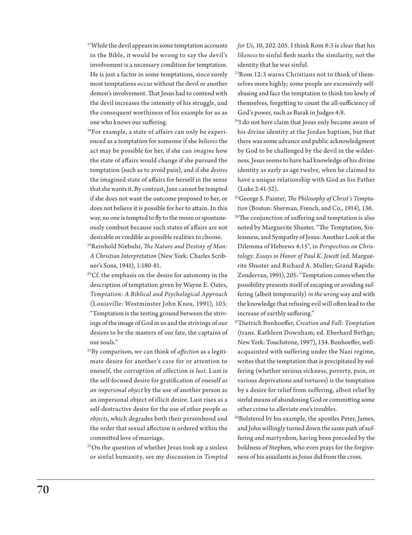<sup>17</sup>While the devil appears in some temptation accounts in the Bible, it would be wrong to say the devil's involvement is a necessary condition for temptation. He is just a factor in some temptations, since surely most temptations occur without the devil or another demon's involvement. That Jesus had to contend with the devil increases the intensity of his struggle, and the consequent worthiness of his example for us as one who knows our suffering.

<sup>18</sup>For example, a state of affairs can only be experienced as a temptation for someone if she *believes* the act may be possible for her, if she can *imagine* how the state of affairs would change if she pursued the temptation (such as to avoid pain), and if she *desires* the imagined state of affairs for herself in the sense that she wants it. By contrast, Jane cannot be tempted if she does not want the outcome proposed to her, or does not believe it is possible for her to attain. In this way, no one is tempted to fly to the moon or spontaneously combust because such states of affairs are not desirable or credible as possible realities to choose.

19Reinhold Niebuhr, *The Nature and Destiny of Man: A Christian Interpretation* (New York: Charles Scribner's Sons, 1941), 1:180-81.

- <sup>20</sup>Cf. the emphasis on the desire for autonomy in the description of temptation given by Wayne E. Oates, *Temptation: A Biblical and Psychological Approach* (Louisville: Westminster John Knox, 1991), 103: "Temptation is the testing ground between the strivings of the image of God in us and the strivings of our desires to be the masters of our fate, the captains of our souls."
- 21By comparison, we can think of *affection* as a legitimate desire for another's care for or attention to oneself, the corruption of affection is *lust*. Lust is the self-focused desire for gratification of oneself *as an impersonal object* by the use of another person as an impersonal object of illicit desire. Lust rises as a self-destructive desire for the use of other people *as objects*, which degrades both their personhood and the order that sexual affection is ordered within the committed love of marriage.

<sup>22</sup>On the question of whether Jesus took up a sinless or sinful humanity, see my discussion in *Tempted*  *for Us*, 10, 202-205. I think Rom 8:3 is clear that his *likeness* to sinful flesh marks the similarity, not the identity that he was sinful.

23Rom 12:3 warns Christians not to think of themselves more highly; some people are excessively selfabasing and face the temptation to think too lowly of themselves, forgetting to count the all-sufficiency of God's power, such as Barak in Judges 4:8.

24I do not here claim that Jesus only became aware of his divine identity at the Jordan baptism, but that there was some advance and public acknowledgment by God to be challenged by the devil in the wilderness. Jesus seems to have had knowledge of his divine identity as early as age twelve, when he claimed to have a unique relationship with God as his Father (Luke 2:41-52).

25George S. Painter, *The Philosophy of Christ's Temptation* (Boston: Sherman, French, and Co., 1914), 136. <sup>26</sup>The conjunction of suffering and temptation is also noted by Marguerite Shuster, "The Temptation, Sinlessness, and Sympathy of Jesus: Another Look at the Dilemma of Hebrews 4:15", in *Perspectives on Christology: Essays in Honor of Paul K. Jewett* (ed. Marguerite Shuster and Richard A. Muller; Grand Rapids: Zondervan, 1991), 205: "Temptation comes when the possibility presents itself of escaping or avoiding suffering (albeit temporarily) *in the wrong way* and with the knowledge that refusing evil will often lead to the increase of earthly suffering."

27Dietrich Bonhoeffer, *Creation and Fall: Temptation* (trans. Kathleen Downham; ed. Eberhard Bethge; New York: Touchstone, 1997), 134. Bonhoeffer, wellacquainted with suffering under the Nazi regime, writes that the temptation that is precipitated by suffering (whether serious sickness, poverty, pain, or various deprivations and tortures) is the temptation by a desire for relief from suffering, albeit relief by sinful means of abandoning God or committing some other crime to alleviate one's troubles.

28Bolstered by his example, the apostles Peter, James, and John willingly turned down the same path of suffering and martyrdom, having been preceded by the boldness of Stephen, who even prays for the forgiveness of his assailants as Jesus did from the cross.